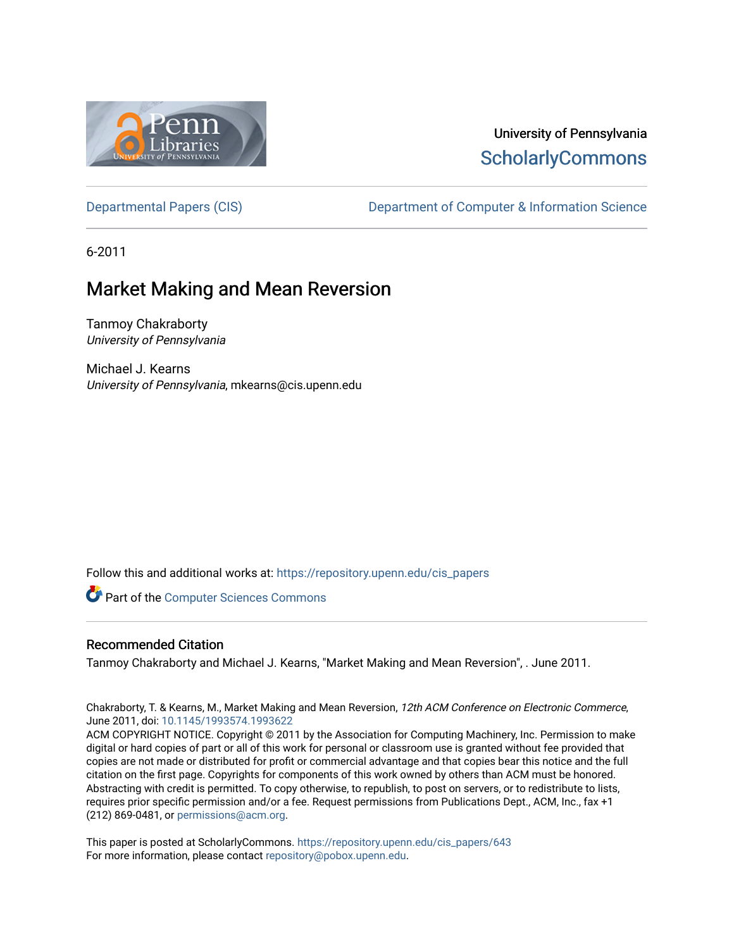

# University of Pennsylvania **ScholarlyCommons**

[Departmental Papers \(CIS\)](https://repository.upenn.edu/cis_papers) [Department of Computer & Information Science](https://repository.upenn.edu/cis) 

6-2011

# Market Making and Mean Reversion

Tanmoy Chakraborty University of Pennsylvania

Michael J. Kearns University of Pennsylvania, mkearns@cis.upenn.edu

Follow this and additional works at: [https://repository.upenn.edu/cis\\_papers](https://repository.upenn.edu/cis_papers?utm_source=repository.upenn.edu%2Fcis_papers%2F643&utm_medium=PDF&utm_campaign=PDFCoverPages)

Part of the [Computer Sciences Commons](http://network.bepress.com/hgg/discipline/142?utm_source=repository.upenn.edu%2Fcis_papers%2F643&utm_medium=PDF&utm_campaign=PDFCoverPages)

# Recommended Citation

Tanmoy Chakraborty and Michael J. Kearns, "Market Making and Mean Reversion", . June 2011.

Chakraborty, T. & Kearns, M., Market Making and Mean Reversion, 12th ACM Conference on Electronic Commerce, June 2011, doi: [10.1145/1993574.1993622](http://doi.acm.org/10.1145/1993574.1993622)

ACM COPYRIGHT NOTICE. Copyright © 2011 by the Association for Computing Machinery, Inc. Permission to make digital or hard copies of part or all of this work for personal or classroom use is granted without fee provided that copies are not made or distributed for profit or commercial advantage and that copies bear this notice and the full citation on the first page. Copyrights for components of this work owned by others than ACM must be honored. Abstracting with credit is permitted. To copy otherwise, to republish, to post on servers, or to redistribute to lists, requires prior specific permission and/or a fee. Request permissions from Publications Dept., ACM, Inc., fax +1 (212) 869-0481, or [permissions@acm.org](mailto:permissions@acm.org).

This paper is posted at ScholarlyCommons. [https://repository.upenn.edu/cis\\_papers/643](https://repository.upenn.edu/cis_papers/643)  For more information, please contact [repository@pobox.upenn.edu.](mailto:repository@pobox.upenn.edu)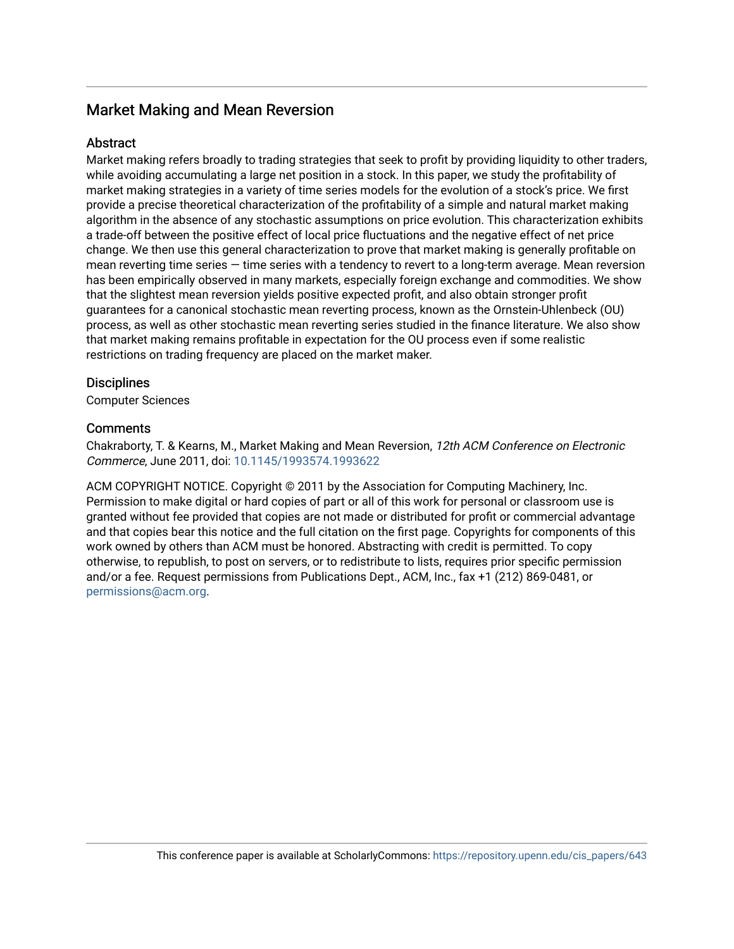# Market Making and Mean Reversion

# Abstract

Market making refers broadly to trading strategies that seek to profit by providing liquidity to other traders, while avoiding accumulating a large net position in a stock. In this paper, we study the profitability of market making strategies in a variety of time series models for the evolution of a stock's price. We first provide a precise theoretical characterization of the profitability of a simple and natural market making algorithm in the absence of any stochastic assumptions on price evolution. This characterization exhibits a trade-off between the positive effect of local price fluctuations and the negative effect of net price change. We then use this general characterization to prove that market making is generally profitable on mean reverting time series — time series with a tendency to revert to a long-term average. Mean reversion has been empirically observed in many markets, especially foreign exchange and commodities. We show that the slightest mean reversion yields positive expected profit, and also obtain stronger profit guarantees for a canonical stochastic mean reverting process, known as the Ornstein-Uhlenbeck (OU) process, as well as other stochastic mean reverting series studied in the finance literature. We also show that market making remains profitable in expectation for the OU process even if some realistic restrictions on trading frequency are placed on the market maker.

# **Disciplines**

Computer Sciences

# **Comments**

Chakraborty, T. & Kearns, M., Market Making and Mean Reversion, 12th ACM Conference on Electronic Commerce, June 2011, doi: [10.1145/1993574.1993622](http://doi.acm.org/10.1145/1993574.1993622) 

ACM COPYRIGHT NOTICE. Copyright © 2011 by the Association for Computing Machinery, Inc. Permission to make digital or hard copies of part or all of this work for personal or classroom use is granted without fee provided that copies are not made or distributed for profit or commercial advantage and that copies bear this notice and the full citation on the first page. Copyrights for components of this work owned by others than ACM must be honored. Abstracting with credit is permitted. To copy otherwise, to republish, to post on servers, or to redistribute to lists, requires prior specific permission and/or a fee. Request permissions from Publications Dept., ACM, Inc., fax +1 (212) 869-0481, or [permissions@acm.org](mailto:permissions@acm.org).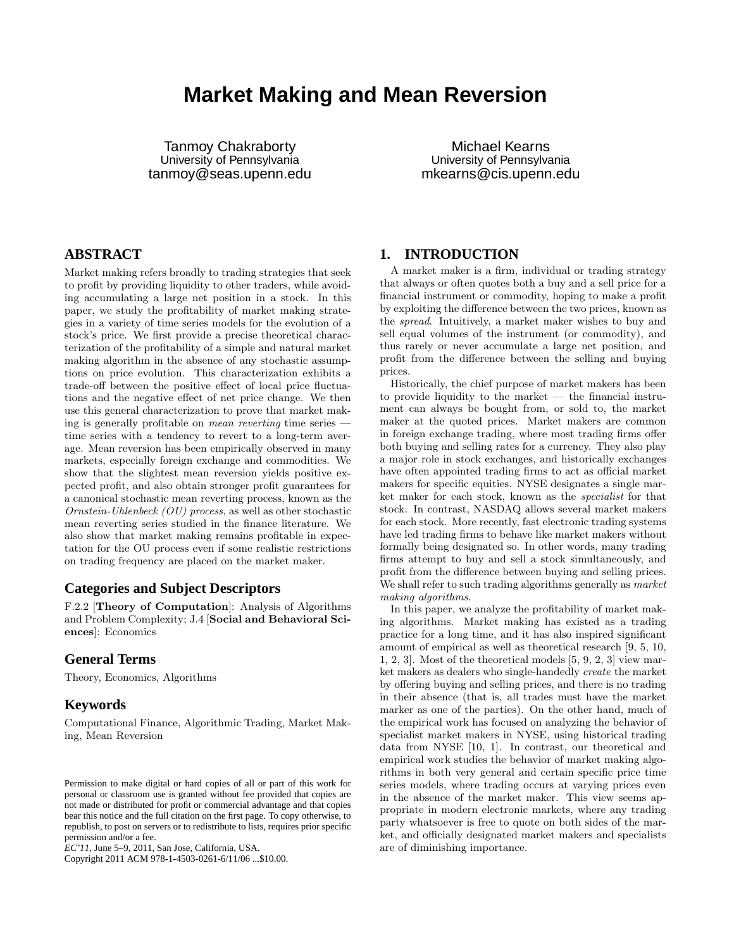# **Market Making and Mean Reversion**

Tanmoy Chakraborty University of Pennsylvania tanmoy@seas.upenn.edu

Michael Kearns University of Pennsylvania mkearns@cis.upenn.edu

# **ABSTRACT**

Market making refers broadly to trading strategies that seek to profit by providing liquidity to other traders, while avoiding accumulating a large net position in a stock. In this paper, we study the profitability of market making strategies in a variety of time series models for the evolution of a stock's price. We first provide a precise theoretical characterization of the profitability of a simple and natural market making algorithm in the absence of any stochastic assumptions on price evolution. This characterization exhibits a trade-off between the positive effect of local price fluctuations and the negative effect of net price change. We then use this general characterization to prove that market making is generally profitable on mean reverting time series time series with a tendency to revert to a long-term average. Mean reversion has been empirically observed in many markets, especially foreign exchange and commodities. We show that the slightest mean reversion yields positive expected profit, and also obtain stronger profit guarantees for a canonical stochastic mean reverting process, known as the Ornstein-Uhlenbeck (OU) process, as well as other stochastic mean reverting series studied in the finance literature. We also show that market making remains profitable in expectation for the OU process even if some realistic restrictions on trading frequency are placed on the market maker.

## **Categories and Subject Descriptors**

F.2.2 [Theory of Computation]: Analysis of Algorithms and Problem Complexity; J.4 [Social and Behavioral Sciences]: Economics

## **General Terms**

Theory, Economics, Algorithms

## **Keywords**

Computational Finance, Algorithmic Trading, Market Making, Mean Reversion

Copyright 2011 ACM 978-1-4503-0261-6/11/06 ...\$10.00.

## **1. INTRODUCTION**

A market maker is a firm, individual or trading strategy that always or often quotes both a buy and a sell price for a financial instrument or commodity, hoping to make a profit by exploiting the difference between the two prices, known as the spread. Intuitively, a market maker wishes to buy and sell equal volumes of the instrument (or commodity), and thus rarely or never accumulate a large net position, and profit from the difference between the selling and buying prices.

Historically, the chief purpose of market makers has been to provide liquidity to the market — the financial instrument can always be bought from, or sold to, the market maker at the quoted prices. Market makers are common in foreign exchange trading, where most trading firms offer both buying and selling rates for a currency. They also play a major role in stock exchanges, and historically exchanges have often appointed trading firms to act as official market makers for specific equities. NYSE designates a single market maker for each stock, known as the specialist for that stock. In contrast, NASDAQ allows several market makers for each stock. More recently, fast electronic trading systems have led trading firms to behave like market makers without formally being designated so. In other words, many trading firms attempt to buy and sell a stock simultaneously, and profit from the difference between buying and selling prices. We shall refer to such trading algorithms generally as *market* making algorithms.

In this paper, we analyze the profitability of market making algorithms. Market making has existed as a trading practice for a long time, and it has also inspired significant amount of empirical as well as theoretical research [9, 5, 10, 1, 2, 3]. Most of the theoretical models [5, 9, 2, 3] view market makers as dealers who single-handedly create the market by offering buying and selling prices, and there is no trading in their absence (that is, all trades must have the market marker as one of the parties). On the other hand, much of the empirical work has focused on analyzing the behavior of specialist market makers in NYSE, using historical trading data from NYSE [10, 1]. In contrast, our theoretical and empirical work studies the behavior of market making algorithms in both very general and certain specific price time series models, where trading occurs at varying prices even in the absence of the market maker. This view seems appropriate in modern electronic markets, where any trading party whatsoever is free to quote on both sides of the market, and officially designated market makers and specialists are of diminishing importance.

Permission to make digital or hard copies of all or part of this work for personal or classroom use is granted without fee provided that copies are not made or distributed for profit or commercial advantage and that copies bear this notice and the full citation on the first page. To copy otherwise, to republish, to post on servers or to redistribute to lists, requires prior specific permission and/or a fee.

*EC'11,* June 5–9, 2011, San Jose, California, USA.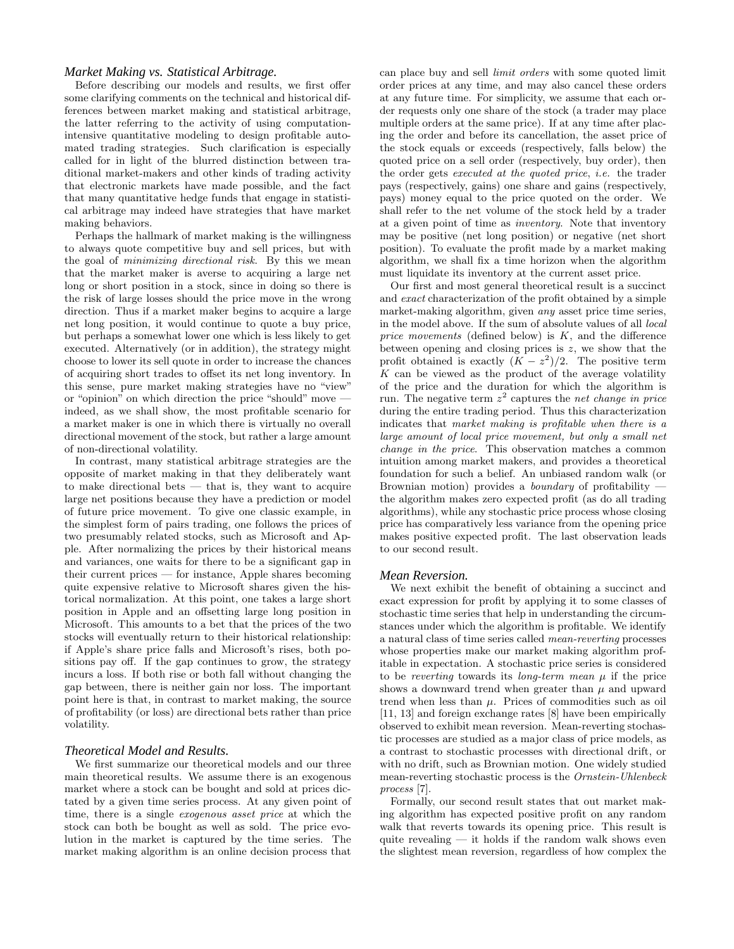### *Market Making vs. Statistical Arbitrage.*

Before describing our models and results, we first offer some clarifying comments on the technical and historical differences between market making and statistical arbitrage, the latter referring to the activity of using computationintensive quantitative modeling to design profitable automated trading strategies. Such clarification is especially called for in light of the blurred distinction between traditional market-makers and other kinds of trading activity that electronic markets have made possible, and the fact that many quantitative hedge funds that engage in statistical arbitrage may indeed have strategies that have market making behaviors.

Perhaps the hallmark of market making is the willingness to always quote competitive buy and sell prices, but with the goal of minimizing directional risk. By this we mean that the market maker is averse to acquiring a large net long or short position in a stock, since in doing so there is the risk of large losses should the price move in the wrong direction. Thus if a market maker begins to acquire a large net long position, it would continue to quote a buy price, but perhaps a somewhat lower one which is less likely to get executed. Alternatively (or in addition), the strategy might choose to lower its sell quote in order to increase the chances of acquiring short trades to offset its net long inventory. In this sense, pure market making strategies have no "view" or "opinion" on which direction the price "should" move indeed, as we shall show, the most profitable scenario for a market maker is one in which there is virtually no overall directional movement of the stock, but rather a large amount of non-directional volatility.

In contrast, many statistical arbitrage strategies are the opposite of market making in that they deliberately want to make directional bets — that is, they want to acquire large net positions because they have a prediction or model of future price movement. To give one classic example, in the simplest form of pairs trading, one follows the prices of two presumably related stocks, such as Microsoft and Apple. After normalizing the prices by their historical means and variances, one waits for there to be a significant gap in their current prices — for instance, Apple shares becoming quite expensive relative to Microsoft shares given the historical normalization. At this point, one takes a large short position in Apple and an offsetting large long position in Microsoft. This amounts to a bet that the prices of the two stocks will eventually return to their historical relationship: if Apple's share price falls and Microsoft's rises, both positions pay off. If the gap continues to grow, the strategy incurs a loss. If both rise or both fall without changing the gap between, there is neither gain nor loss. The important point here is that, in contrast to market making, the source of profitability (or loss) are directional bets rather than price volatility.

#### *Theoretical Model and Results.*

We first summarize our theoretical models and our three main theoretical results. We assume there is an exogenous market where a stock can be bought and sold at prices dictated by a given time series process. At any given point of time, there is a single exogenous asset price at which the stock can both be bought as well as sold. The price evolution in the market is captured by the time series. The market making algorithm is an online decision process that

can place buy and sell limit orders with some quoted limit order prices at any time, and may also cancel these orders at any future time. For simplicity, we assume that each order requests only one share of the stock (a trader may place multiple orders at the same price). If at any time after placing the order and before its cancellation, the asset price of the stock equals or exceeds (respectively, falls below) the quoted price on a sell order (respectively, buy order), then the order gets executed at the quoted price, i.e. the trader pays (respectively, gains) one share and gains (respectively, pays) money equal to the price quoted on the order. We shall refer to the net volume of the stock held by a trader at a given point of time as inventory. Note that inventory may be positive (net long position) or negative (net short position). To evaluate the profit made by a market making algorithm, we shall fix a time horizon when the algorithm must liquidate its inventory at the current asset price.

Our first and most general theoretical result is a succinct and exact characterization of the profit obtained by a simple market-making algorithm, given any asset price time series, in the model above. If the sum of absolute values of all local price movements (defined below) is  $K$ , and the difference between opening and closing prices is z, we show that the profit obtained is exactly  $(K - z^2)/2$ . The positive term  $K$  can be viewed as the product of the average volatility of the price and the duration for which the algorithm is run. The negative term  $z^2$  captures the net change in price during the entire trading period. Thus this characterization indicates that market making is profitable when there is a large amount of local price movement, but only a small net change in the price. This observation matches a common intuition among market makers, and provides a theoretical foundation for such a belief. An unbiased random walk (or Brownian motion) provides a *boundary* of profitability the algorithm makes zero expected profit (as do all trading algorithms), while any stochastic price process whose closing price has comparatively less variance from the opening price makes positive expected profit. The last observation leads to our second result.

#### *Mean Reversion.*

We next exhibit the benefit of obtaining a succinct and exact expression for profit by applying it to some classes of stochastic time series that help in understanding the circumstances under which the algorithm is profitable. We identify a natural class of time series called mean-reverting processes whose properties make our market making algorithm profitable in expectation. A stochastic price series is considered to be reverting towards its long-term mean  $\mu$  if the price shows a downward trend when greater than  $\mu$  and upward trend when less than  $\mu$ . Prices of commodities such as oil [11, 13] and foreign exchange rates [8] have been empirically observed to exhibit mean reversion. Mean-reverting stochastic processes are studied as a major class of price models, as a contrast to stochastic processes with directional drift, or with no drift, such as Brownian motion. One widely studied mean-reverting stochastic process is the Ornstein-Uhlenbeck process [7].

Formally, our second result states that out market making algorithm has expected positive profit on any random walk that reverts towards its opening price. This result is quite revealing  $-$  it holds if the random walk shows even the slightest mean reversion, regardless of how complex the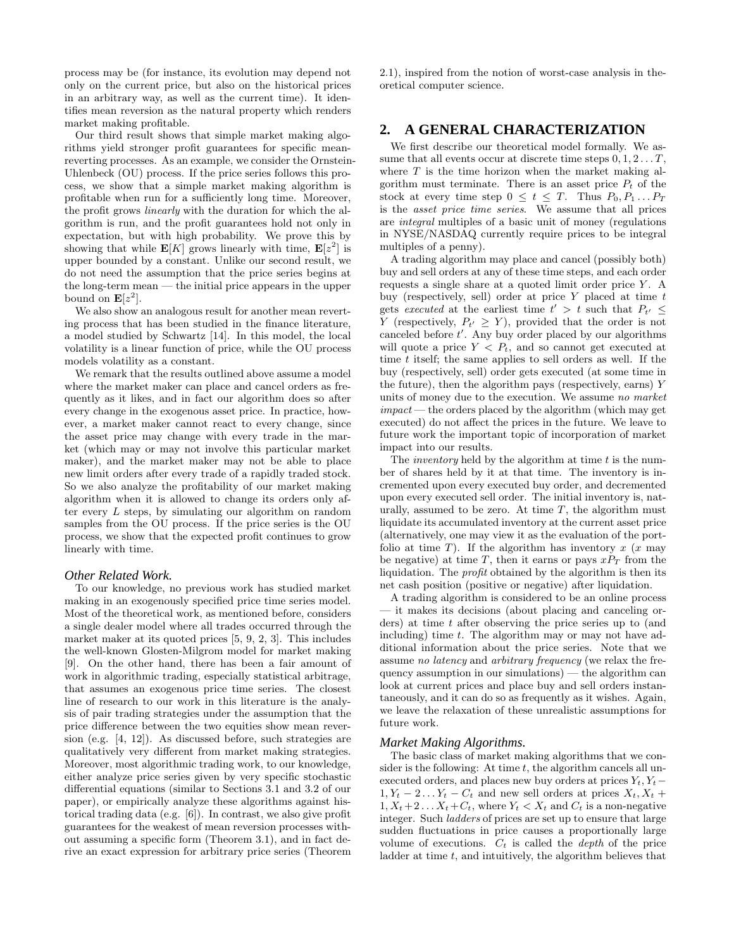process may be (for instance, its evolution may depend not only on the current price, but also on the historical prices in an arbitrary way, as well as the current time). It identifies mean reversion as the natural property which renders market making profitable.

Our third result shows that simple market making algorithms yield stronger profit guarantees for specific meanreverting processes. As an example, we consider the Ornstein-Uhlenbeck (OU) process. If the price series follows this process, we show that a simple market making algorithm is profitable when run for a sufficiently long time. Moreover, the profit grows linearly with the duration for which the algorithm is run, and the profit guarantees hold not only in expectation, but with high probability. We prove this by showing that while  $\mathbf{E}[K]$  grows linearly with time,  $\mathbf{E}[z^2]$  is upper bounded by a constant. Unlike our second result, we do not need the assumption that the price series begins at the long-term mean — the initial price appears in the upper bound on  $\mathbf{E}[z^2]$ .

We also show an analogous result for another mean reverting process that has been studied in the finance literature, a model studied by Schwartz [14]. In this model, the local volatility is a linear function of price, while the OU process models volatility as a constant.

We remark that the results outlined above assume a model where the market maker can place and cancel orders as frequently as it likes, and in fact our algorithm does so after every change in the exogenous asset price. In practice, however, a market maker cannot react to every change, since the asset price may change with every trade in the market (which may or may not involve this particular market maker), and the market maker may not be able to place new limit orders after every trade of a rapidly traded stock. So we also analyze the profitability of our market making algorithm when it is allowed to change its orders only after every L steps, by simulating our algorithm on random samples from the OU process. If the price series is the OU process, we show that the expected profit continues to grow linearly with time.

#### *Other Related Work.*

To our knowledge, no previous work has studied market making in an exogenously specified price time series model. Most of the theoretical work, as mentioned before, considers a single dealer model where all trades occurred through the market maker at its quoted prices [5, 9, 2, 3]. This includes the well-known Glosten-Milgrom model for market making [9]. On the other hand, there has been a fair amount of work in algorithmic trading, especially statistical arbitrage, that assumes an exogenous price time series. The closest line of research to our work in this literature is the analysis of pair trading strategies under the assumption that the price difference between the two equities show mean reversion (e.g. [4, 12]). As discussed before, such strategies are qualitatively very different from market making strategies. Moreover, most algorithmic trading work, to our knowledge, either analyze price series given by very specific stochastic differential equations (similar to Sections 3.1 and 3.2 of our paper), or empirically analyze these algorithms against historical trading data (e.g. [6]). In contrast, we also give profit guarantees for the weakest of mean reversion processes without assuming a specific form (Theorem 3.1), and in fact derive an exact expression for arbitrary price series (Theorem

2.1), inspired from the notion of worst-case analysis in theoretical computer science.

# **2. A GENERAL CHARACTERIZATION**

We first describe our theoretical model formally. We assume that all events occur at discrete time steps  $0, 1, 2...T$ , where  $T$  is the time horizon when the market making algorithm must terminate. There is an asset price  $P_t$  of the stock at every time step  $0 \leq t \leq T$ . Thus  $P_0, P_1 \dots P_T$ is the asset price time series. We assume that all prices are integral multiples of a basic unit of money (regulations in NYSE/NASDAQ currently require prices to be integral multiples of a penny).

A trading algorithm may place and cancel (possibly both) buy and sell orders at any of these time steps, and each order requests a single share at a quoted limit order price  $Y$ . A buy (respectively, sell) order at price  $Y$  placed at time  $t$ gets executed at the earliest time  $t' > t$  such that  $P_{t'} \leq$ Y (respectively,  $P_{t'} \geq Y$ ), provided that the order is not canceled before t ′ . Any buy order placed by our algorithms will quote a price  $Y < P_t$ , and so cannot get executed at time  $t$  itself; the same applies to sell orders as well. If the buy (respectively, sell) order gets executed (at some time in the future), then the algorithm pays (respectively, earns) Y units of money due to the execution. We assume no market  $impact$ — the orders placed by the algorithm (which may get executed) do not affect the prices in the future. We leave to future work the important topic of incorporation of market impact into our results.

The *inventory* held by the algorithm at time  $t$  is the number of shares held by it at that time. The inventory is incremented upon every executed buy order, and decremented upon every executed sell order. The initial inventory is, naturally, assumed to be zero. At time  $T$ , the algorithm must liquidate its accumulated inventory at the current asset price (alternatively, one may view it as the evaluation of the portfolio at time  $T$ ). If the algorithm has inventory  $x(x)$  may be negative) at time T, then it earns or pays  $xP_T$  from the liquidation. The profit obtained by the algorithm is then its net cash position (positive or negative) after liquidation.

A trading algorithm is considered to be an online process — it makes its decisions (about placing and canceling orders) at time t after observing the price series up to (and including) time  $t$ . The algorithm may or may not have additional information about the price series. Note that we assume no latency and arbitrary frequency (we relax the frequency assumption in our simulations) — the algorithm can look at current prices and place buy and sell orders instantaneously, and it can do so as frequently as it wishes. Again, we leave the relaxation of these unrealistic assumptions for future work.

#### *Market Making Algorithms.*

The basic class of market making algorithms that we consider is the following: At time  $t$ , the algorithm cancels all unexecuted orders, and places new buy orders at prices  $Y_t, Y_t$ −  $1, Y_t - 2 \ldots Y_t - C_t$  and new sell orders at prices  $X_t, X_t +$  $1, X_t+2 \ldots X_t+C_t$ , where  $Y_t < X_t$  and  $C_t$  is a non-negative integer. Such ladders of prices are set up to ensure that large sudden fluctuations in price causes a proportionally large volume of executions.  $C_t$  is called the *depth* of the price ladder at time  $t$ , and intuitively, the algorithm believes that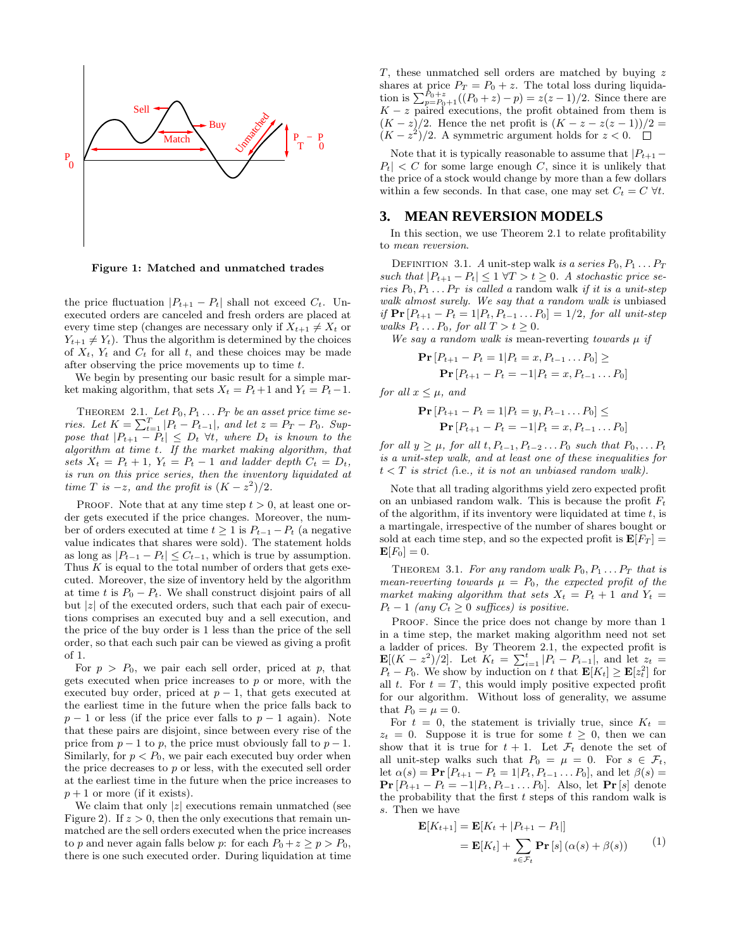

Figure 1: Matched and unmatched trades

the price fluctuation  $|P_{t+1} - P_t|$  shall not exceed  $C_t$ . Unexecuted orders are canceled and fresh orders are placed at every time step (changes are necessary only if  $X_{t+1} \neq X_t$  or  $Y_{t+1} \neq Y_t$ . Thus the algorithm is determined by the choices of  $X_t$ ,  $Y_t$  and  $C_t$  for all t, and these choices may be made after observing the price movements up to time t.

We begin by presenting our basic result for a simple market making algorithm, that sets  $X_t = P_t + 1$  and  $Y_t = P_t - 1$ .

THEOREM 2.1. Let  $P_0, P_1 \ldots P_T$  be an asset price time series. Let  $K = \sum_{t=1}^{T} |P_t - P_{t-1}|$ , and let  $z = P_T - P_0$ . Suppose that  $|P_{t+1} - P_t| \leq D_t \ \forall t$ , where  $D_t$  is known to the algorithm at time t. If the market making algorithm, that sets  $X_t = P_t + 1$ ,  $Y_t = P_t - 1$  and ladder depth  $C_t = D_t$ , is run on this price series, then the inventory liquidated at time T is  $-z$ , and the profit is  $(K - z<sup>2</sup>)/2$ .

PROOF. Note that at any time step  $t > 0$ , at least one order gets executed if the price changes. Moreover, the number of orders executed at time  $t \geq 1$  is  $P_{t-1} - P_t$  (a negative value indicates that shares were sold). The statement holds as long as  $|P_{t-1} - P_t| \leq C_{t-1}$ , which is true by assumption. Thus  $K$  is equal to the total number of orders that gets executed. Moreover, the size of inventory held by the algorithm at time t is  $P_0 - P_t$ . We shall construct disjoint pairs of all but  $|z|$  of the executed orders, such that each pair of executions comprises an executed buy and a sell execution, and the price of the buy order is 1 less than the price of the sell order, so that each such pair can be viewed as giving a profit of 1.

For  $p > P_0$ , we pair each sell order, priced at p, that gets executed when price increases to  $p$  or more, with the executed buy order, priced at  $p-1$ , that gets executed at the earliest time in the future when the price falls back to  $p-1$  or less (if the price ever falls to  $p-1$  again). Note that these pairs are disjoint, since between every rise of the price from  $p-1$  to p, the price must obviously fall to  $p-1$ . Similarly, for  $p < P_0$ , we pair each executed buy order when the price decreases to p or less, with the executed sell order at the earliest time in the future when the price increases to  $p+1$  or more (if it exists).

We claim that only  $|z|$  executions remain unmatched (see Figure 2). If  $z > 0$ , then the only executions that remain unmatched are the sell orders executed when the price increases to p and never again falls below p: for each  $P_0 + z \ge p > P_0$ , there is one such executed order. During liquidation at time

T, these unmatched sell orders are matched by buying z shares at price  $P_T = P_0 + z$ . The total loss during liquidation is  $\sum_{p=P_0+1}^{P_0+z} ((P_0 + z) - p) = z(z-1)/2$ . Since there are  $K - z$  paired executions, the profit obtained from them is  $(K-z)/2$ . Hence the net profit is  $(K-z-z(z-1))/2 =$  $(K - z<sup>2</sup>)/2$ . A symmetric argument holds for  $z < 0$ .

Note that it is typically reasonable to assume that  $|P_{t+1}$  –  $P_t| < C$  for some large enough C, since it is unlikely that the price of a stock would change by more than a few dollars within a few seconds. In that case, one may set  $C_t = C \ \forall t$ .

### **3. MEAN REVERSION MODELS**

In this section, we use Theorem 2.1 to relate profitability to mean reversion.

DEFINITION 3.1. A unit-step walk is a series  $P_0, P_1 \ldots P_T$ such that  $|P_{t+1} - P_t| \leq 1 \,\forall T > t \geq 0$ . A stochastic price series  $P_0, P_1 \ldots P_T$  is called a random walk if it is a unit-step walk almost surely. We say that a random walk is unbiased if  $Pr[P_{t+1} - P_t = 1 | P_t, P_{t-1} ... P_0] = 1/2$ , for all unit-step walks  $P_t \dots P_0$ , for all  $T > t \geq 0$ .

We say a random walk is mean-reverting towards  $\mu$  if

$$
\mathbf{Pr}\left[P_{t+1} - P_t = 1 | P_t = x, P_{t-1} \dots P_0\right] \ge
$$
\n
$$
\mathbf{Pr}\left[P_{t+1} - P_t = -1 | P_t = x, P_{t-1} \dots P_0\right]
$$

for all  $x \leq \mu$ , and

$$
\mathbf{Pr}\left[P_{t+1} - P_t = 1 | P_t = y, P_{t-1} \dots P_0\right] \le \mathbf{Pr}\left[P_{t+1} - P_t = -1 | P_t = x, P_{t-1} \dots P_0\right]
$$

for all  $y \geq \mu$ , for all  $t, P_{t-1}, P_{t-2} \ldots P_0$  such that  $P_0, \ldots P_t$ is a unit-step walk, and at least one of these inequalities for  $t < T$  is strict (i.e., it is not an unbiased random walk).

Note that all trading algorithms yield zero expected profit on an unbiased random walk. This is because the profit  $F_t$ of the algorithm, if its inventory were liquidated at time  $t$ , is a martingale, irrespective of the number of shares bought or sold at each time step, and so the expected profit is  $\mathbf{E}[F_T] =$  $\mathbf{E}[F_0] = 0.$ 

THEOREM 3.1. For any random walk  $P_0, P_1 \ldots P_T$  that is mean-reverting towards  $\mu = P_0$ , the expected profit of the market making algorithm that sets  $X_t = P_t + 1$  and  $Y_t =$  $P_t - 1$  (any  $C_t \geq 0$  suffices) is positive.

PROOF. Since the price does not change by more than 1 in a time step, the market making algorithm need not set a ladder of prices. By Theorem 2.1, the expected profit is  $\mathbf{E}[(K-z^2)/2]$ . Let  $K_t = \sum_{i=1}^t |P_i - P_{i-1}|$ , and let  $z_t =$  $P_t - P_0$ . We show by induction on t that  $\mathbf{E}[K_t] \geq \mathbf{E}[z_t^2]$  for all t. For  $t = T$ , this would imply positive expected profit for our algorithm. Without loss of generality, we assume that  $P_0 = \mu = 0$ .

For  $t = 0$ , the statement is trivially true, since  $K_t =$  $z_t = 0$ . Suppose it is true for some  $t \geq 0$ , then we can show that it is true for  $t + 1$ . Let  $\mathcal{F}_t$  denote the set of all unit-step walks such that  $P_0 = \mu = 0$ . For  $s \in \mathcal{F}_t$ , let  $\alpha(s) = \Pr [P_{t+1} - P_t = 1 | P_t, P_{t-1} \dots P_0]$ , and let  $\beta(s) =$  $\Pr[P_{t+1} - P_t = -1 | P_t, P_{t-1} \dots P_0].$  Also, let  $\Pr[s]$  denote the probability that the first  $t$  steps of this random walk is s. Then we have

$$
\mathbf{E}[K_{t+1}] = \mathbf{E}[K_t + |P_{t+1} - P_t|]
$$
  
= 
$$
\mathbf{E}[K_t] + \sum_{s \in \mathcal{F}_t} \mathbf{Pr}\left[s\right] (\alpha(s) + \beta(s))
$$
 (1)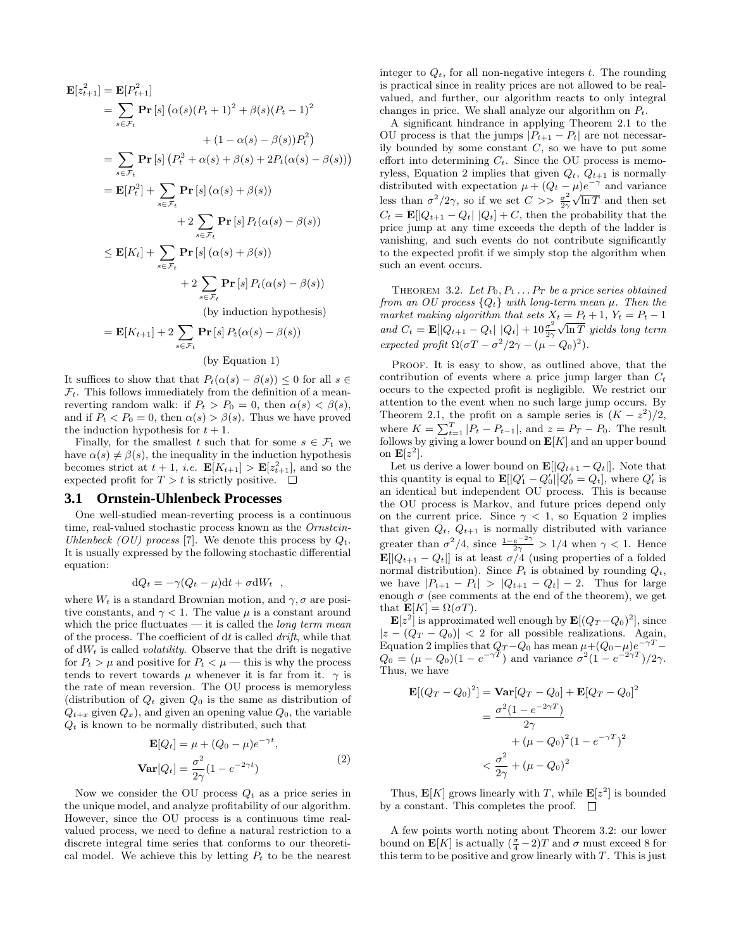$$
\mathbf{E}[z_{t+1}^2] = \mathbf{E}[P_{t+1}^2]
$$
  
\n
$$
= \sum_{s \in \mathcal{F}_t} \mathbf{Pr}[s] (\alpha(s)(P_t + 1)^2 + \beta(s)(P_t - 1)^2
$$
  
\n
$$
+ (1 - \alpha(s) - \beta(s))P_t^2)
$$
  
\n
$$
= \sum_{s \in \mathcal{F}_t} \mathbf{Pr}[s] (P_t^2 + \alpha(s) + \beta(s) + 2P_t(\alpha(s) - \beta(s)))
$$
  
\n
$$
= \mathbf{E}[P_t^2] + \sum_{s \in \mathcal{F}_t} \mathbf{Pr}[s] (\alpha(s) + \beta(s))
$$
  
\n
$$
+ 2 \sum_{s \in \mathcal{F}_t} \mathbf{Pr}[s] P_t(\alpha(s) - \beta(s))
$$
  
\n
$$
\leq \mathbf{E}[K_t] + \sum_{s \in \mathcal{F}_t} \mathbf{Pr}[s] (\alpha(s) + \beta(s))
$$
  
\n
$$
+ 2 \sum_{s \in \mathcal{F}_t} \mathbf{Pr}[s] P_t(\alpha(s) - \beta(s))
$$
  
\n(by induction hypothesis)  
\n
$$
= \mathbf{E}[K_{t+1}] + 2 \sum_{s \in \mathcal{F}_t} \mathbf{Pr}[s] P_t(\alpha(s) - \beta(s))
$$

It suffices to show that that  $P_t(\alpha(s) - \beta(s)) \leq 0$  for all  $s \in$  $\mathcal{F}_t$ . This follows immediately from the definition of a meanreverting random walk: if  $P_t > P_0 = 0$ , then  $\alpha(s) < \beta(s)$ , and if  $P_t < P_0 = 0$ , then  $\alpha(s) > \beta(s)$ . Thus we have proved the induction hypothesis for  $t + 1$ .

(by Equation 1)

Finally, for the smallest t such that for some  $s \in \mathcal{F}_t$  we have  $\alpha(s) \neq \beta(s)$ , the inequality in the induction hypothesis becomes strict at  $t + 1$ , *i.e.*  $\mathbf{E}[K_{t+1}] > \mathbf{E}[z_{t+1}^2]$ , and so the expected profit for  $T > t$  is strictly positive.  $\Box$ 

#### **3.1 Ornstein-Uhlenbeck Processes**

One well-studied mean-reverting process is a continuous time, real-valued stochastic process known as the Ornstein-Uhlenbeck (OU) process [7]. We denote this process by  $Q_t$ . It is usually expressed by the following stochastic differential equation:

$$
dQ_t = -\gamma (Q_t - \mu) dt + \sigma dW_t ,
$$

where  $W_t$  is a standard Brownian motion, and  $\gamma$ ,  $\sigma$  are positive constants, and  $\gamma < 1$ . The value  $\mu$  is a constant around which the price fluctuates  $-$  it is called the *long term mean* of the process. The coefficient of  $dt$  is called  $drift$ , while that of  $dW_t$  is called *volatility*. Observe that the drift is negative for  $P_t > \mu$  and positive for  $P_t < \mu$  — this is why the process tends to revert towards  $\mu$  whenever it is far from it.  $\gamma$  is the rate of mean reversion. The OU process is memoryless (distribution of  $Q_t$  given  $Q_0$  is the same as distribution of  $Q_{t+x}$  given  $Q_x$ , and given an opening value  $Q_0$ , the variable  $Q_t$  is known to be normally distributed, such that

$$
\mathbf{E}[Q_t] = \mu + (Q_0 - \mu)e^{-\gamma t},
$$
  
\n
$$
\mathbf{Var}[Q_t] = \frac{\sigma^2}{2\gamma}(1 - e^{-2\gamma t})
$$
\n(2)

Now we consider the OU process  $Q_t$  as a price series in the unique model, and analyze profitability of our algorithm. However, since the OU process is a continuous time realvalued process, we need to define a natural restriction to a discrete integral time series that conforms to our theoretical model. We achieve this by letting  $P_t$  to be the nearest

integer to  $Q_t$ , for all non-negative integers t. The rounding is practical since in reality prices are not allowed to be realvalued, and further, our algorithm reacts to only integral changes in price. We shall analyze our algorithm on  $P_t$ .

A significant hindrance in applying Theorem 2.1 to the OU process is that the jumps  $|P_{t+1} - P_t|$  are not necessarily bounded by some constant  $C$ , so we have to put some effort into determining  $C_t$ . Since the OU process is memoryless, Equation 2 implies that given  $Q_t$ ,  $Q_{t+1}$  is normally distributed with expectation  $\mu + (Q_t - \mu)e^{-\gamma}$  and variance less than  $\sigma^2/2\gamma$ , so if we set  $C >> \frac{\sigma^2}{2\gamma}$  $\frac{\sigma^2}{2\gamma}\sqrt{\ln T}$  and then set  $C_t = \mathbf{E}[|Q_{t+1} - Q_t| |Q_t] + C$ , then the probability that the price jump at any time exceeds the depth of the ladder is vanishing, and such events do not contribute significantly to the expected profit if we simply stop the algorithm when such an event occurs.

THEOREM 3.2. Let  $P_0, P_1 \ldots P_T$  be a price series obtained from an OU process  ${Q_t}$  with long-term mean  $\mu$ . Then the market making algorithm that sets  $X_t = P_t + 1$ ,  $Y_t = P_t - 1$ and  $C_t = \mathbf{E}[|Q_{t+1} - Q_t| |Q_t] + 10 \frac{\sigma^2}{2\gamma}$  $\frac{\sigma^2}{2\gamma}\sqrt{\ln T}$  yields long term expected profit  $\Omega(\sigma T - \sigma^2/2\gamma - (\mu - Q_0)^2)$ .

PROOF. It is easy to show, as outlined above, that the contribution of events where a price jump larger than  $C_t$ occurs to the expected profit is negligible. We restrict our attention to the event when no such large jump occurs. By Theorem 2.1, the profit on a sample series is  $(K - z^2)/2$ , where  $K = \sum_{t=1}^{T} |P_t - P_{t-1}|$ , and  $z = P_T - P_0$ . The result follows by giving a lower bound on  $\mathbf{E}[K]$  and an upper bound on  $\mathbf{E}[z^2]$ .

Let us derive a lower bound on  $\mathbf{E}[|Q_{t+1} - Q_t|]$ . Note that this quantity is equal to  $\mathbf{E}[|Q'_1 - Q'_0||Q'_0 = Q_t]$ , where  $Q'_t$  is an identical but independent OU process. This is because the OU process is Markov, and future prices depend only on the current price. Since  $\gamma$  < 1, so Equation 2 implies that given  $Q_t$ ,  $Q_{t+1}$  is normally distributed with variance greater than  $\sigma^2/4$ , since  $\frac{1-e^{-2\gamma}}{2\gamma} > 1/4$  when  $\gamma < 1$ . Hence  $\mathbf{E}[|Q_{t+1} - Q_t|]$  is at least  $\sigma/4$  (using properties of a folded normal distribution). Since  $P_t$  is obtained by rounding  $Q_t$ , we have  $|P_{t+1} - P_t| > |Q_{t+1} - Q_t| - 2$ . Thus for large enough  $\sigma$  (see comments at the end of the theorem), we get that  $\mathbf{E}[K] = \Omega(\sigma T)$ .

 $\mathbf{E}[z^2]$  is approximated well enough by  $\mathbf{E}[(Q_T-Q_0)^2]$ , since  $|z - (Q_T - Q_0)| < 2$  for all possible realizations. Again, Equation 2 implies that  $Q_T - Q_0$  has mean  $\mu + (Q_0 - \mu)e^{-\gamma T}$  $Q_0 = (\mu - Q_0)(1 - e^{-\gamma T})$  and variance  $\sigma^2 (1 - e^{-2\gamma T})/2\gamma$ . Thus, we have

$$
\mathbf{E}[(Q_T - Q_0)^2] = \mathbf{Var}[Q_T - Q_0] + \mathbf{E}[Q_T - Q_0]^2
$$
  
= 
$$
\frac{\sigma^2 (1 - e^{-2\gamma T})}{2\gamma}
$$
  
+ 
$$
(\mu - Q_0)^2 (1 - e^{-\gamma T})^2
$$
  

$$
< \frac{\sigma^2}{2\gamma} + (\mu - Q_0)^2
$$

Thus,  $\mathbf{E}[K]$  grows linearly with T, while  $\mathbf{E}[z^2]$  is bounded by a constant. This completes the proof.  $\square$ 

A few points worth noting about Theorem 3.2: our lower bound on  $\mathbf{E}[K]$  is actually  $(\frac{\sigma}{4}-2)T$  and  $\sigma$  must exceed 8 for this term to be positive and grow linearly with  $T$ . This is just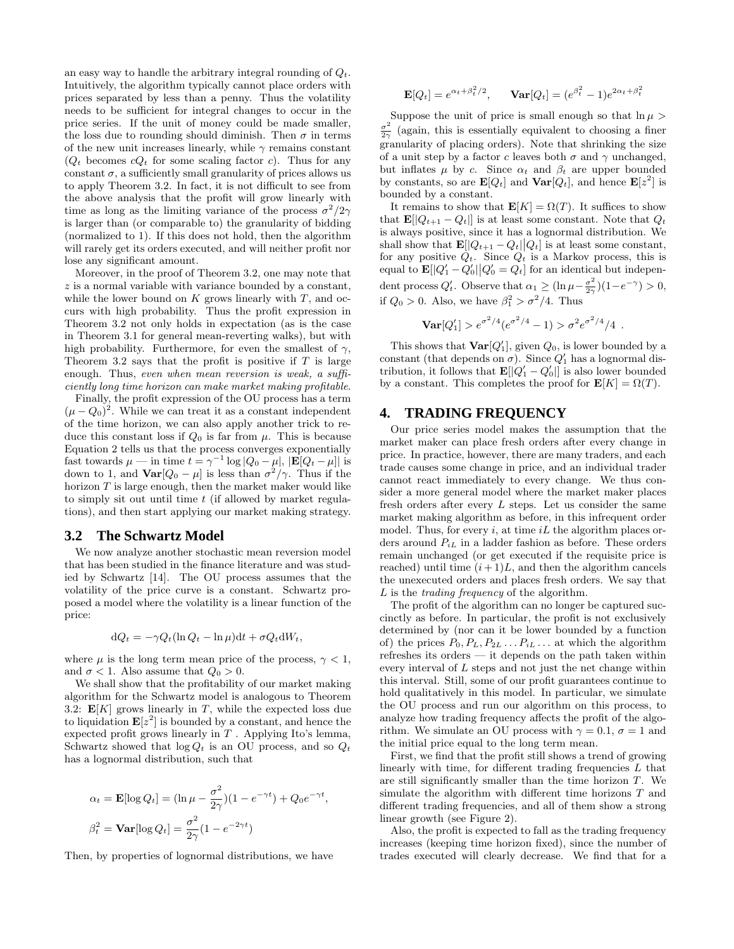an easy way to handle the arbitrary integral rounding of  $Q_t$ . Intuitively, the algorithm typically cannot place orders with prices separated by less than a penny. Thus the volatility needs to be sufficient for integral changes to occur in the price series. If the unit of money could be made smaller, the loss due to rounding should diminish. Then  $\sigma$  in terms of the new unit increases linearly, while  $\gamma$  remains constant  $(Q_t$  becomes  $cQ_t$  for some scaling factor c). Thus for any constant  $\sigma$ , a sufficiently small granularity of prices allows us to apply Theorem 3.2. In fact, it is not difficult to see from the above analysis that the profit will grow linearly with time as long as the limiting variance of the process  $\sigma^2/2\gamma$ is larger than (or comparable to) the granularity of bidding (normalized to 1). If this does not hold, then the algorithm will rarely get its orders executed, and will neither profit nor lose any significant amount.

Moreover, in the proof of Theorem 3.2, one may note that z is a normal variable with variance bounded by a constant, while the lower bound on  $K$  grows linearly with  $T$ , and occurs with high probability. Thus the profit expression in Theorem 3.2 not only holds in expectation (as is the case in Theorem 3.1 for general mean-reverting walks), but with high probability. Furthermore, for even the smallest of  $\gamma$ , Theorem 3.2 says that the profit is positive if  $T$  is large enough. Thus, even when mean reversion is weak, a sufficiently long time horizon can make market making profitable.

Finally, the profit expression of the OU process has a term  $(\mu - Q_0)^2$ . While we can treat it as a constant independent of the time horizon, we can also apply another trick to reduce this constant loss if  $Q_0$  is far from  $\mu$ . This is because Equation 2 tells us that the process converges exponentially fast towards  $\mu$  — in time  $t = \gamma^{-1} \log |Q_0 - \mu|$ ,  $|\mathbf{E}[Q_t - \mu]|$  is down to 1, and  $\text{Var}[Q_0 - \mu]$  is less than  $\sigma^2/\gamma$ . Thus if the horizon  $T$  is large enough, then the market maker would like to simply sit out until time  $t$  (if allowed by market regulations), and then start applying our market making strategy.

#### **3.2 The Schwartz Model**

We now analyze another stochastic mean reversion model that has been studied in the finance literature and was studied by Schwartz [14]. The OU process assumes that the volatility of the price curve is a constant. Schwartz proposed a model where the volatility is a linear function of the price:

$$
dQ_t = -\gamma Q_t (\ln Q_t - \ln \mu) dt + \sigma Q_t dW_t,
$$

where  $\mu$  is the long term mean price of the process,  $\gamma < 1$ , and  $\sigma < 1$ . Also assume that  $Q_0 > 0$ .

We shall show that the profitability of our market making algorithm for the Schwartz model is analogous to Theorem 3.2:  $\mathbf{E}[K]$  grows linearly in T, while the expected loss due to liquidation  $\mathbf{E}[z^2]$  is bounded by a constant, and hence the expected profit grows linearly in  $T$ . Applying Ito's lemma, Schwartz showed that  $\log Q_t$  is an OU process, and so  $Q_t$ has a lognormal distribution, such that

$$
\alpha_t = \mathbf{E}[\log Q_t] = (\ln \mu - \frac{\sigma^2}{2\gamma})(1 - e^{-\gamma t}) + Q_0 e^{-\gamma t}
$$

$$
\beta_t^2 = \mathbf{Var}[\log Q_t] = \frac{\sigma^2}{2\gamma}(1 - e^{-2\gamma t})
$$

,

Then, by properties of lognormal distributions, we have

$$
\mathbf{E}[Q_t] = e^{\alpha_t + \beta_t^2/2}, \quad \mathbf{Var}[Q_t] = (e^{\beta_t^2} - 1)e^{2\alpha_t + \beta_t^2}
$$

Suppose the unit of price is small enough so that  $\ln \mu$  $\sigma^2$  $\frac{\sigma^2}{2\gamma}$  (again, this is essentially equivalent to choosing a finer granularity of placing orders). Note that shrinking the size of a unit step by a factor c leaves both  $\sigma$  and  $\gamma$  unchanged, but inflates  $\mu$  by c. Since  $\alpha_t$  and  $\beta_t$  are upper bounded by constants, so are  $\mathbf{E}[Q_t]$  and  $\mathbf{Var}[Q_t]$ , and hence  $\mathbf{E}[z^2]$  is bounded by a constant.

It remains to show that  $\mathbf{E}[K] = \Omega(T)$ . It suffices to show that  $\mathbf{E}[|Q_{t+1} - Q_t|]$  is at least some constant. Note that  $Q_t$ is always positive, since it has a lognormal distribution. We shall show that  $\mathbf{E}[|Q_{t+1} - Q_t||Q_t]$  is at least some constant, for any positive  $Q_t$ . Since  $Q_t$  is a Markov process, this is equal to  $\mathbf{E}[|Q'_1 - Q'_0||Q'_0 = Q_t]$  for an identical but independent process  $Q'_t$ . Observe that  $\alpha_1 \geq (\ln \mu - \frac{\sigma^2}{2\gamma})$  $\frac{\sigma^2}{2\gamma}$ )(1- $e^{-\gamma}$ ) > 0, if  $Q_0 > 0$ . Also, we have  $\beta_1^2 > \sigma^2/4$ . Thus

$$
\mathbf{Var}[Q'_1] > e^{\sigma^2/4} (e^{\sigma^2/4} - 1) > \sigma^2 e^{\sigma^2/4}/4.
$$

This shows that  $\text{Var}[Q_1']$ , given  $Q_0$ , is lower bounded by a constant (that depends on  $\sigma$ ). Since  $Q'_1$  has a lognormal distribution, it follows that  $\mathbf{E}[|Q'_1 - Q'_0|]$  is also lower bounded by a constant. This completes the proof for  $\mathbf{E}[K] = \Omega(T)$ .

## **4. TRADING FREQUENCY**

Our price series model makes the assumption that the market maker can place fresh orders after every change in price. In practice, however, there are many traders, and each trade causes some change in price, and an individual trader cannot react immediately to every change. We thus consider a more general model where the market maker places fresh orders after every  $L$  steps. Let us consider the same market making algorithm as before, in this infrequent order model. Thus, for every i, at time  $iL$  the algorithm places orders around  $P_{iL}$  in a ladder fashion as before. These orders remain unchanged (or get executed if the requisite price is reached) until time  $(i+1)L$ , and then the algorithm cancels the unexecuted orders and places fresh orders. We say that L is the *trading frequency* of the algorithm.

The profit of the algorithm can no longer be captured succinctly as before. In particular, the profit is not exclusively determined by (nor can it be lower bounded by a function of) the prices  $P_0, P_L, P_{2L} \ldots P_{iL} \ldots$  at which the algorithm refreshes its orders — it depends on the path taken within every interval of L steps and not just the net change within this interval. Still, some of our profit guarantees continue to hold qualitatively in this model. In particular, we simulate the OU process and run our algorithm on this process, to analyze how trading frequency affects the profit of the algorithm. We simulate an OU process with  $\gamma = 0.1$ ,  $\sigma = 1$  and the initial price equal to the long term mean.

First, we find that the profit still shows a trend of growing linearly with time, for different trading frequencies  $L$  that are still significantly smaller than the time horizon T. We simulate the algorithm with different time horizons T and different trading frequencies, and all of them show a strong linear growth (see Figure 2).

Also, the profit is expected to fall as the trading frequency increases (keeping time horizon fixed), since the number of trades executed will clearly decrease. We find that for a